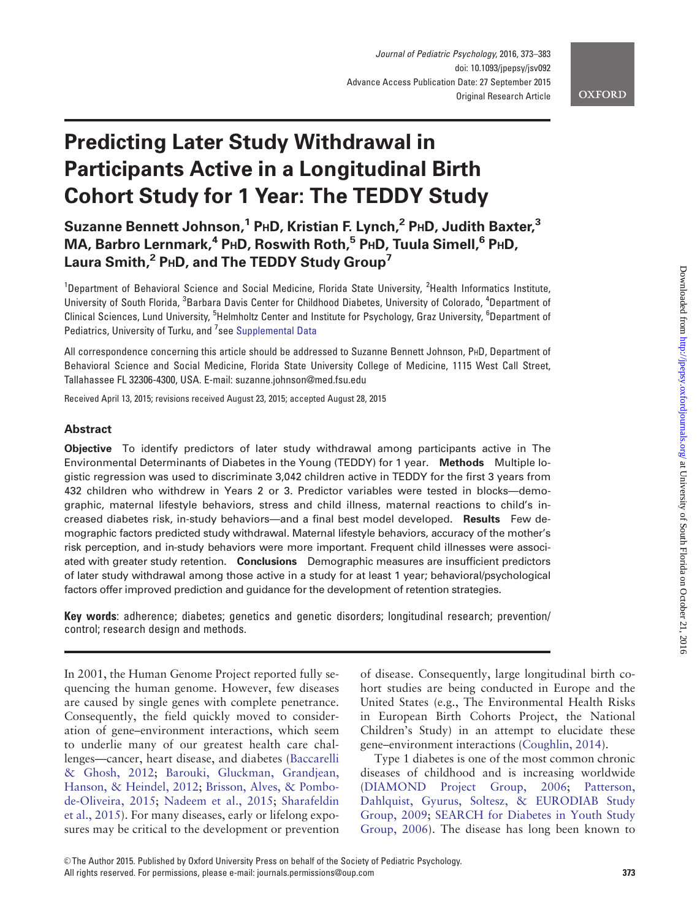# **OXFORD**

# Predicting Later Study Withdrawal in Participants Active in a Longitudinal Birth Cohort Study for 1 Year: The TEDDY Study

# Suzanne Bennett Johnson,<sup>1</sup> PHD, Kristian F. Lynch,<sup>2</sup> PHD, Judith Baxter,<sup>3</sup> MA, Barbro Lernmark,<sup>4</sup> PHD, Roswith Roth,<sup>5</sup> PHD, Tuula Simell,<sup>6</sup> PHD, Laura Smith,<sup>2</sup> PHD, and The TEDDY Study Group<sup>7</sup>

<sup>1</sup>Department of Behavioral Science and Social Medicine, Florida State University, <sup>2</sup>Health Informatics Institute, University of South Florida, <sup>3</sup>Barbara Davis Center for Childhood Diabetes, University of Colorado, <sup>4</sup>Department of Clinical Sciences, Lund University, <sup>5</sup>Helmholtz Center and Institute for Psychology, Graz University, <sup>6</sup>Department of Pediatrics, University of Turku, and <sup>7</sup>see [Supplemental Data](http://jpepsy.oxfordjournals.org/lookup/suppl/doi:10.1093/jpepsy/jsv092/-/DC1)

All correspondence concerning this article should be addressed to Suzanne Bennett Johnson, PHD, Department of Behavioral Science and Social Medicine, Florida State University College of Medicine, 1115 West Call Street, Tallahassee FL 32306-4300, USA. E-mail: suzanne.johnson@med.fsu.edu

Received April 13, 2015; revisions received August 23, 2015; accepted August 28, 2015

## Abstract

Objective To identify predictors of later study withdrawal among participants active in The Environmental Determinants of Diabetes in the Young (TEDDY) for 1 year. Methods Multiple logistic regression was used to discriminate 3,042 children active in TEDDY for the first 3 years from 432 children who withdrew in Years 2 or 3. Predictor variables were tested in blocks—demographic, maternal lifestyle behaviors, stress and child illness, maternal reactions to child's increased diabetes risk, in-study behaviors—and a final best model developed. Results Few demographic factors predicted study withdrawal. Maternal lifestyle behaviors, accuracy of the mother's risk perception, and in-study behaviors were more important. Frequent child illnesses were associated with greater study retention. Conclusions Demographic measures are insufficient predictors of later study withdrawal among those active in a study for at least 1 year; behavioral/psychological factors offer improved prediction and guidance for the development of retention strategies.

Key words: adherence; diabetes; genetics and genetic disorders; longitudinal research; prevention/ control; research design and methods.

In 2001, the Human Genome Project reported fully sequencing the human genome. However, few diseases are caused by single genes with complete penetrance. Consequently, the field quickly moved to consideration of gene–environment interactions, which seem to underlie many of our greatest health care challenges—cancer, heart disease, and diabetes ([Baccarelli](#page-9-0) [& Ghosh, 2012](#page-9-0); [Barouki, Gluckman, Grandjean,](#page-9-0) [Hanson, & Heindel, 2012](#page-9-0); [Brisson, Alves, & Pombo](#page-10-0)[de-Oliveira, 2015](#page-10-0); [Nadeem et al., 2015](#page-10-0); [Sharafeldin](#page-10-0) [et al., 2015\)](#page-10-0). For many diseases, early or lifelong exposures may be critical to the development or prevention

of disease. Consequently, large longitudinal birth cohort studies are being conducted in Europe and the United States (e.g., The Environmental Health Risks in European Birth Cohorts Project, the National Children's Study) in an attempt to elucidate these gene–environment interactions [\(Coughlin, 2014\)](#page-10-0).

Type 1 diabetes is one of the most common chronic diseases of childhood and is increasing worldwide ([DIAMOND Project Group, 2006](#page-10-0); [Patterson,](#page-10-0) [Dahlquist, Gyurus, Soltesz, & EURODIAB Study](#page-10-0) [Group, 2009;](#page-10-0) [SEARCH for Diabetes in Youth Study](#page-10-0) [Group, 2006](#page-10-0)). The disease has long been known to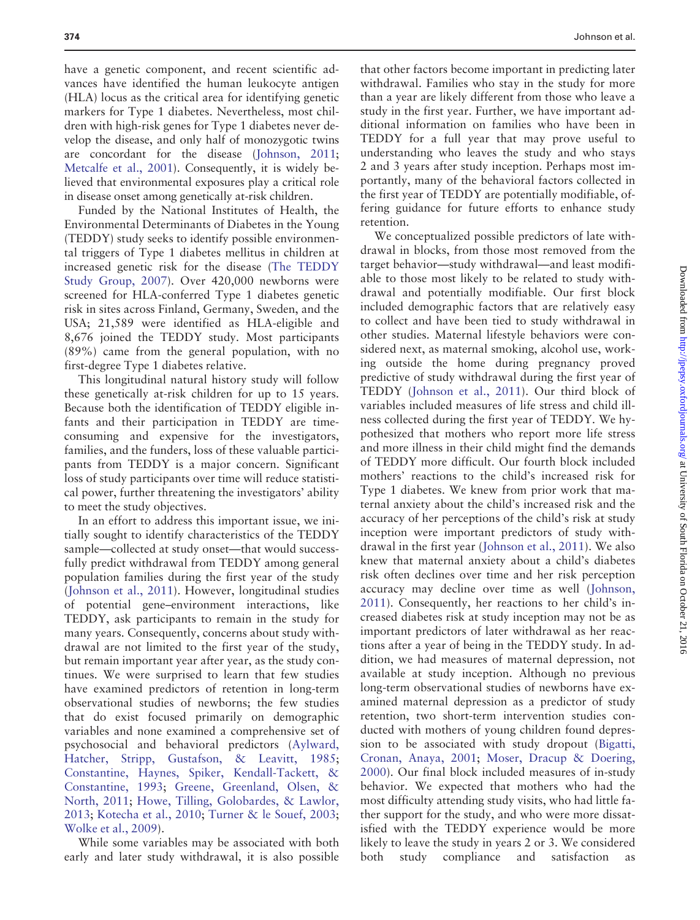have a genetic component, and recent scientific advances have identified the human leukocyte antigen (HLA) locus as the critical area for identifying genetic markers for Type 1 diabetes. Nevertheless, most children with high-risk genes for Type 1 diabetes never develop the disease, and only half of monozygotic twins are concordant for the disease [\(Johnson, 2011;](#page-10-0) [Metcalfe et al., 2001](#page-10-0)). Consequently, it is widely believed that environmental exposures play a critical role in disease onset among genetically at-risk children.

Funded by the National Institutes of Health, the Environmental Determinants of Diabetes in the Young (TEDDY) study seeks to identify possible environmental triggers of Type 1 diabetes mellitus in children at increased genetic risk for the disease [\(The TEDDY](#page-10-0) [Study Group, 2007](#page-10-0)). Over 420,000 newborns were screened for HLA-conferred Type 1 diabetes genetic risk in sites across Finland, Germany, Sweden, and the USA; 21,589 were identified as HLA-eligible and 8,676 joined the TEDDY study. Most participants (89%) came from the general population, with no first-degree Type 1 diabetes relative.

This longitudinal natural history study will follow these genetically at-risk children for up to 15 years. Because both the identification of TEDDY eligible infants and their participation in TEDDY are timeconsuming and expensive for the investigators, families, and the funders, loss of these valuable participants from TEDDY is a major concern. Significant loss of study participants over time will reduce statistical power, further threatening the investigators' ability to meet the study objectives.

In an effort to address this important issue, we initially sought to identify characteristics of the TEDDY sample—collected at study onset—that would successfully predict withdrawal from TEDDY among general population families during the first year of the study ([Johnson et al., 2011\)](#page-10-0). However, longitudinal studies of potential gene–environment interactions, like TEDDY, ask participants to remain in the study for many years. Consequently, concerns about study withdrawal are not limited to the first year of the study, but remain important year after year, as the study continues. We were surprised to learn that few studies have examined predictors of retention in long-term observational studies of newborns; the few studies that do exist focused primarily on demographic variables and none examined a comprehensive set of psychosocial and behavioral predictors ([Aylward,](#page-9-0) [Hatcher, Stripp, Gustafson, & Leavitt, 1985;](#page-9-0) [Constantine, Haynes, Spiker, Kendall-Tackett, &](#page-10-0) [Constantine, 1993;](#page-10-0) [Greene, Greenland, Olsen, &](#page-10-0) [North, 2011;](#page-10-0) [Howe, Tilling, Golobardes, & Lawlor,](#page-10-0) [2013;](#page-10-0) [Kotecha et al., 2010](#page-10-0); [Turner & le Souef, 2003;](#page-10-0) [Wolke et al., 2009\)](#page-10-0).

While some variables may be associated with both early and later study withdrawal, it is also possible

that other factors become important in predicting later withdrawal. Families who stay in the study for more than a year are likely different from those who leave a study in the first year. Further, we have important additional information on families who have been in TEDDY for a full year that may prove useful to understanding who leaves the study and who stays 2 and 3 years after study inception. Perhaps most importantly, many of the behavioral factors collected in the first year of TEDDY are potentially modifiable, offering guidance for future efforts to enhance study retention.

We conceptualized possible predictors of late withdrawal in blocks, from those most removed from the target behavior—study withdrawal—and least modifiable to those most likely to be related to study withdrawal and potentially modifiable. Our first block included demographic factors that are relatively easy to collect and have been tied to study withdrawal in other studies. Maternal lifestyle behaviors were considered next, as maternal smoking, alcohol use, working outside the home during pregnancy proved predictive of study withdrawal during the first year of TEDDY [\(Johnson et al., 2011\)](#page-10-0). Our third block of variables included measures of life stress and child illness collected during the first year of TEDDY. We hypothesized that mothers who report more life stress and more illness in their child might find the demands of TEDDY more difficult. Our fourth block included mothers' reactions to the child's increased risk for Type 1 diabetes. We knew from prior work that maternal anxiety about the child's increased risk and the accuracy of her perceptions of the child's risk at study inception were important predictors of study withdrawal in the first year ([Johnson et al., 2011](#page-10-0)). We also knew that maternal anxiety about a child's diabetes risk often declines over time and her risk perception accuracy may decline over time as well [\(Johnson,](#page-10-0) [2011\)](#page-10-0). Consequently, her reactions to her child's increased diabetes risk at study inception may not be as important predictors of later withdrawal as her reactions after a year of being in the TEDDY study. In addition, we had measures of maternal depression, not available at study inception. Although no previous long-term observational studies of newborns have examined maternal depression as a predictor of study retention, two short-term intervention studies conducted with mothers of young children found depression to be associated with study dropout [\(Bigatti,](#page-9-0) [Cronan, Anaya, 2001;](#page-9-0) [Moser, Dracup & Doering,](#page-10-0) [2000\)](#page-10-0). Our final block included measures of in-study behavior. We expected that mothers who had the most difficulty attending study visits, who had little father support for the study, and who were more dissatisfied with the TEDDY experience would be more likely to leave the study in years 2 or 3. We considered both study compliance and satisfaction as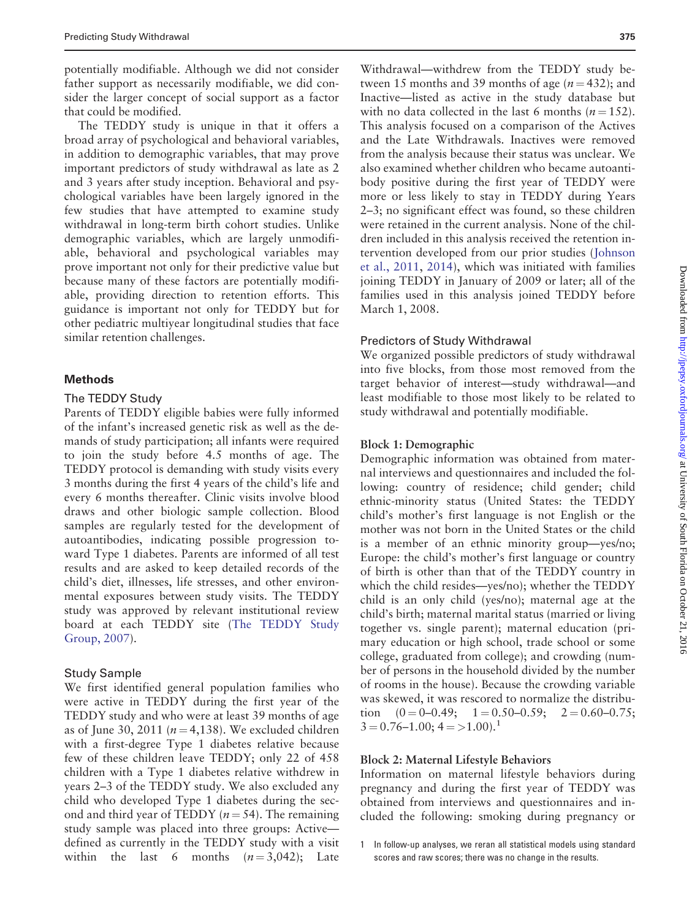potentially modifiable. Although we did not consider father support as necessarily modifiable, we did consider the larger concept of social support as a factor that could be modified.

The TEDDY study is unique in that it offers a broad array of psychological and behavioral variables, in addition to demographic variables, that may prove important predictors of study withdrawal as late as 2 and 3 years after study inception. Behavioral and psychological variables have been largely ignored in the few studies that have attempted to examine study withdrawal in long-term birth cohort studies. Unlike demographic variables, which are largely unmodifiable, behavioral and psychological variables may prove important not only for their predictive value but because many of these factors are potentially modifiable, providing direction to retention efforts. This guidance is important not only for TEDDY but for other pediatric multiyear longitudinal studies that face similar retention challenges.

#### Methods

#### The TEDDY Study

Parents of TEDDY eligible babies were fully informed of the infant's increased genetic risk as well as the demands of study participation; all infants were required to join the study before 4.5 months of age. The TEDDY protocol is demanding with study visits every 3 months during the first 4 years of the child's life and every 6 months thereafter. Clinic visits involve blood draws and other biologic sample collection. Blood samples are regularly tested for the development of autoantibodies, indicating possible progression toward Type 1 diabetes. Parents are informed of all test results and are asked to keep detailed records of the child's diet, illnesses, life stresses, and other environmental exposures between study visits. The TEDDY study was approved by relevant institutional review board at each TEDDY site [\(The TEDDY Study](#page-10-0) [Group, 2007](#page-10-0)).

#### Study Sample

We first identified general population families who were active in TEDDY during the first year of the TEDDY study and who were at least 39 months of age as of June 30, 2011 ( $n = 4,138$ ). We excluded children with a first-degree Type 1 diabetes relative because few of these children leave TEDDY; only 22 of 458 children with a Type 1 diabetes relative withdrew in years 2–3 of the TEDDY study. We also excluded any child who developed Type 1 diabetes during the second and third year of TEDDY ( $n = 54$ ). The remaining study sample was placed into three groups: Active defined as currently in the TEDDY study with a visit within the last 6 months  $(n=3,042)$ ; Late

Withdrawal—withdrew from the TEDDY study between 15 months and 39 months of age  $(n=432)$ ; and Inactive—listed as active in the study database but with no data collected in the last 6 months ( $n = 152$ ). This analysis focused on a comparison of the Actives and the Late Withdrawals. Inactives were removed from the analysis because their status was unclear. We also examined whether children who became autoantibody positive during the first year of TEDDY were more or less likely to stay in TEDDY during Years 2–3; no significant effect was found, so these children were retained in the current analysis. None of the children included in this analysis received the retention intervention developed from our prior studies [\(Johnson](#page-10-0) [et al., 2011](#page-10-0), [2014](#page-10-0)), which was initiated with families joining TEDDY in January of 2009 or later; all of the families used in this analysis joined TEDDY before March 1, 2008.

#### Predictors of Study Withdrawal

We organized possible predictors of study withdrawal into five blocks, from those most removed from the target behavior of interest—study withdrawal—and least modifiable to those most likely to be related to study withdrawal and potentially modifiable.

#### Block 1: Demographic

Demographic information was obtained from maternal interviews and questionnaires and included the following: country of residence; child gender; child ethnic-minority status (United States: the TEDDY child's mother's first language is not English or the mother was not born in the United States or the child is a member of an ethnic minority group—yes/no; Europe: the child's mother's first language or country of birth is other than that of the TEDDY country in which the child resides—yes/no); whether the TEDDY child is an only child (yes/no); maternal age at the child's birth; maternal marital status (married or living together vs. single parent); maternal education (primary education or high school, trade school or some college, graduated from college); and crowding (number of persons in the household divided by the number of rooms in the house). Because the crowding variable was skewed, it was rescored to normalize the distribution  $(0 = 0-0.49; 1 = 0.50-0.59; 2 = 0.60-0.75;$  $3 = 0.76 - 1.00$ ;  $4 = >1.00$ ).<sup>1</sup>

#### Block 2: Maternal Lifestyle Behaviors

Information on maternal lifestyle behaviors during pregnancy and during the first year of TEDDY was obtained from interviews and questionnaires and included the following: smoking during pregnancy or

<sup>1</sup> In follow-up analyses, we reran all statistical models using standard scores and raw scores; there was no change in the results.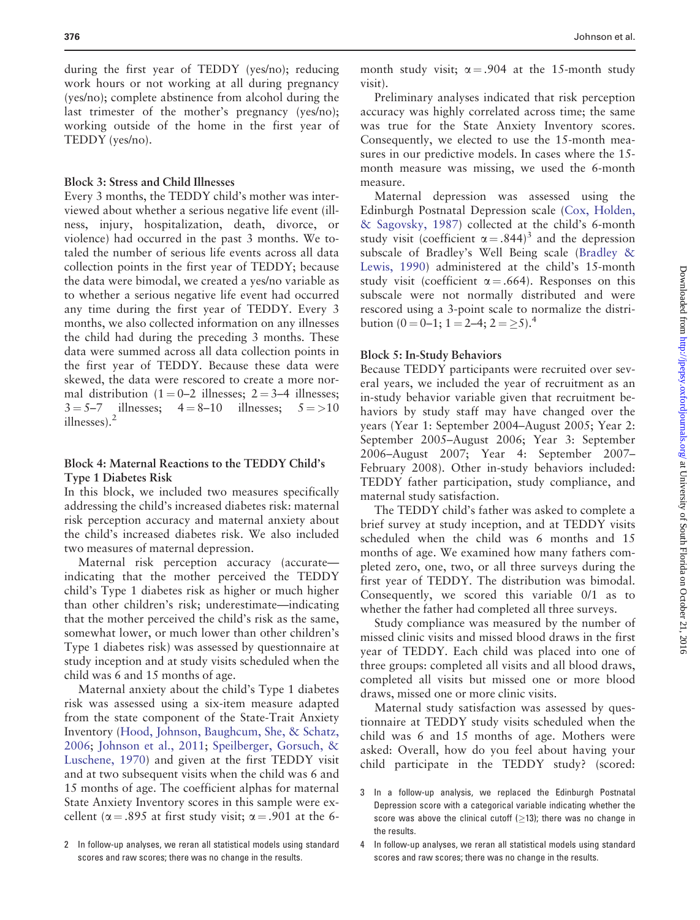during the first year of TEDDY (yes/no); reducing work hours or not working at all during pregnancy (yes/no); complete abstinence from alcohol during the last trimester of the mother's pregnancy (yes/no); working outside of the home in the first year of TEDDY (yes/no).

#### Block 3: Stress and Child Illnesses

Every 3 months, the TEDDY child's mother was interviewed about whether a serious negative life event (illness, injury, hospitalization, death, divorce, or violence) had occurred in the past 3 months. We totaled the number of serious life events across all data collection points in the first year of TEDDY; because the data were bimodal, we created a yes/no variable as to whether a serious negative life event had occurred any time during the first year of TEDDY. Every 3 months, we also collected information on any illnesses the child had during the preceding 3 months. These data were summed across all data collection points in the first year of TEDDY. Because these data were skewed, the data were rescored to create a more normal distribution  $(1 = 0-2$  illnesses;  $2 = 3-4$  illnesses;  $3 = 5 - 7$  illnesses;  $4 = 8 - 10$  illnesses;  $5 = > 10$ illnesses).<sup>2</sup>

#### Block 4: Maternal Reactions to the TEDDY Child's Type 1 Diabetes Risk

In this block, we included two measures specifically addressing the child's increased diabetes risk: maternal risk perception accuracy and maternal anxiety about the child's increased diabetes risk. We also included two measures of maternal depression.

Maternal risk perception accuracy (accurate indicating that the mother perceived the TEDDY child's Type 1 diabetes risk as higher or much higher than other children's risk; underestimate—indicating that the mother perceived the child's risk as the same, somewhat lower, or much lower than other children's Type 1 diabetes risk) was assessed by questionnaire at study inception and at study visits scheduled when the child was 6 and 15 months of age.

Maternal anxiety about the child's Type 1 diabetes risk was assessed using a six-item measure adapted from the state component of the State-Trait Anxiety Inventory [\(Hood, Johnson, Baughcum, She, & Schatz,](#page-10-0) [2006;](#page-10-0) [Johnson et al., 2011](#page-10-0); [Speilberger, Gorsuch, &](#page-10-0) [Luschene, 1970\)](#page-10-0) and given at the first TEDDY visit and at two subsequent visits when the child was 6 and 15 months of age. The coefficient alphas for maternal State Anxiety Inventory scores in this sample were excellent ( $\alpha = .895$  at first study visit;  $\alpha = .901$  at the 6-

month study visit;  $\alpha = .904$  at the 15-month study visit).

Preliminary analyses indicated that risk perception accuracy was highly correlated across time; the same was true for the State Anxiety Inventory scores. Consequently, we elected to use the 15-month measures in our predictive models. In cases where the 15 month measure was missing, we used the 6-month measure.

Maternal depression was assessed using the Edinburgh Postnatal Depression scale [\(Cox, Holden,](#page-10-0) [& Sagovsky, 1987](#page-10-0)) collected at the child's 6-month study visit (coefficient  $\alpha = .844$ )<sup>3</sup> and the depression subscale of Bradley's Well Being scale ([Bradley &](#page-9-0) [Lewis, 1990](#page-9-0)) administered at the child's 15-month study visit (coefficient  $\alpha = .664$ ). Responses on this subscale were not normally distributed and were rescored using a 3-point scale to normalize the distribution  $(0 = 0-1; 1 = 2-4; 2 = 5).$ <sup>4</sup>

#### Block 5: In-Study Behaviors

Because TEDDY participants were recruited over several years, we included the year of recruitment as an in-study behavior variable given that recruitment behaviors by study staff may have changed over the years (Year 1: September 2004–August 2005; Year 2: September 2005–August 2006; Year 3: September 2006–August 2007; Year 4: September 2007– February 2008). Other in-study behaviors included: TEDDY father participation, study compliance, and maternal study satisfaction.

The TEDDY child's father was asked to complete a brief survey at study inception, and at TEDDY visits scheduled when the child was 6 months and 15 months of age. We examined how many fathers completed zero, one, two, or all three surveys during the first year of TEDDY. The distribution was bimodal. Consequently, we scored this variable 0/1 as to whether the father had completed all three surveys.

Study compliance was measured by the number of missed clinic visits and missed blood draws in the first year of TEDDY. Each child was placed into one of three groups: completed all visits and all blood draws, completed all visits but missed one or more blood draws, missed one or more clinic visits.

Maternal study satisfaction was assessed by questionnaire at TEDDY study visits scheduled when the child was 6 and 15 months of age. Mothers were asked: Overall, how do you feel about having your child participate in the TEDDY study? (scored:

<sup>2</sup> In follow-up analyses, we reran all statistical models using standard scores and raw scores; there was no change in the results.

<sup>3</sup> In a follow-up analysis, we replaced the Edinburgh Postnatal Depression score with a categorical variable indicating whether the score was above the clinical cutoff  $(≥13)$ ; there was no change in the results.

<sup>4</sup> In follow-up analyses, we reran all statistical models using standard scores and raw scores; there was no change in the results.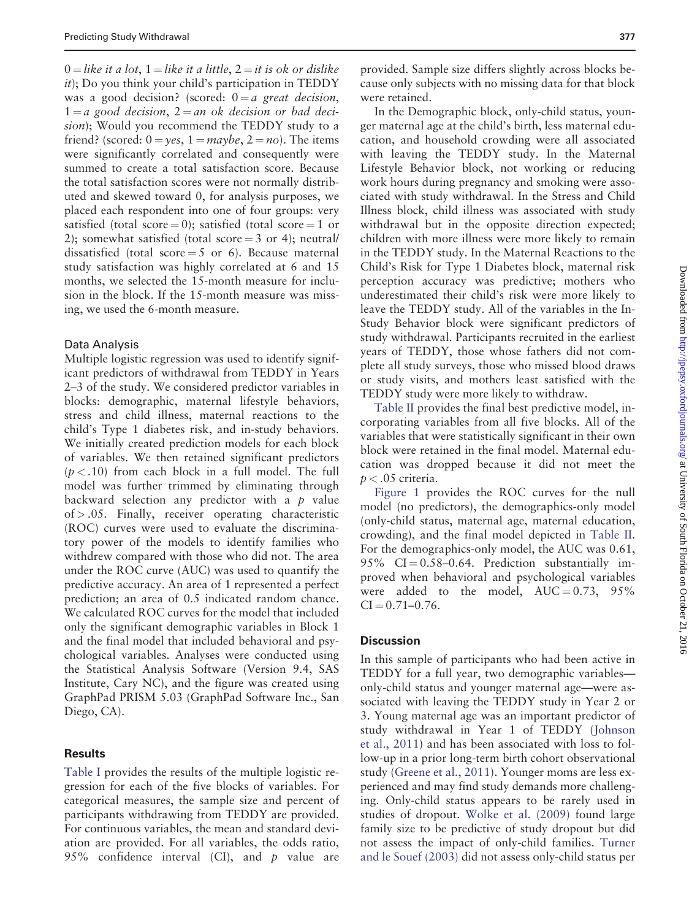$0 =$ like it a lot,  $1 =$ like it a little,  $2 =$ it is ok or dislike  $it$ ; Do you think your child's participation in TEDDY was a good decision? (scored:  $0 = a$  great decision,  $1 = a$  good decision,  $2 = an$  ok decision or bad decision); Would you recommend the TEDDY study to a friend? (scored:  $0 = yes$ ,  $1 = maybe$ ,  $2 = no$ ). The items were significantly correlated and consequently were summed to create a total satisfaction score. Because the total satisfaction scores were not normally distributed and skewed toward 0, for analysis purposes, we placed each respondent into one of four groups: very satisfied (total score  $= 0$ ); satisfied (total score  $= 1$  or 2); somewhat satisfied (total score  $=$  3 or 4); neutral/ dissatisfied (total score  $=$  5 or 6). Because maternal study satisfaction was highly correlated at 6 and 15 months, we selected the 15-month measure for inclusion in the block. If the 15-month measure was missing, we used the 6-month measure.

#### Data Analysis

Multiple logistic regression was used to identify significant predictors of withdrawal from TEDDY in Years 2–3 of the study. We considered predictor variables in blocks: demographic, maternal lifestyle behaviors, stress and child illness, maternal reactions to the child's Type 1 diabetes risk, and in-study behaviors. We initially created prediction models for each block of variables. We then retained significant predictors  $(p < .10)$  from each block in a full model. The full model was further trimmed by eliminating through backward selection any predictor with a  $p$  value  $of > .05$ . Finally, receiver operating characteristic (ROC) curves were used to evaluate the discriminatory power of the models to identify families who withdrew compared with those who did not. The area under the ROC curve (AUC) was used to quantify the predictive accuracy. An area of 1 represented a perfect prediction; an area of 0.5 indicated random chance. We calculated ROC curves for the model that included only the significant demographic variables in Block 1 and the final model that included behavioral and psychological variables. Analyses were conducted using the Statistical Analysis Software (Version 9.4, SAS Institute, Cary NC), and the figure was created using GraphPad PRISM 5.03 (GraphPad Software Inc., San Diego, CA).

#### Results

[Table I](#page-5-0) provides the results of the multiple logistic regression for each of the five blocks of variables. For categorical measures, the sample size and percent of participants withdrawing from TEDDY are provided. For continuous variables, the mean and standard deviation are provided. For all variables, the odds ratio, 95% confidence interval (CI), and  $p$  value are

provided. Sample size differs slightly across blocks because only subjects with no missing data for that block were retained.

In the Demographic block, only-child status, younger maternal age at the child's birth, less maternal education, and household crowding were all associated with leaving the TEDDY study. In the Maternal Lifestyle Behavior block, not working or reducing work hours during pregnancy and smoking were associated with study withdrawal. In the Stress and Child Illness block, child illness was associated with study withdrawal but in the opposite direction expected; children with more illness were more likely to remain in the TEDDY study. In the Maternal Reactions to the Child's Risk for Type 1 Diabetes block, maternal risk perception accuracy was predictive; mothers who underestimated their child's risk were more likely to leave the TEDDY study. All of the variables in the In-Study Behavior block were significant predictors of study withdrawal. Participants recruited in the earliest years of TEDDY, those whose fathers did not complete all study surveys, those who missed blood draws or study visits, and mothers least satisfied with the TEDDY study were more likely to withdraw.

[Table II](#page-7-0) provides the final best predictive model, incorporating variables from all five blocks. All of the variables that were statistically significant in their own block were retained in the final model. Maternal education was dropped because it did not meet the  $p < .05$  criteria.

[Figure 1](#page-7-0) provides the ROC curves for the null model (no predictors), the demographics-only model (only-child status, maternal age, maternal education, crowding), and the final model depicted in [Table II.](#page-7-0) For the demographics-only model, the AUC was 0.61,  $95\%$  CI = 0.58–0.64. Prediction substantially improved when behavioral and psychological variables were added to the model,  $AUC = 0.73$ ,  $95\%$  $CI = 0.71 - 0.76$ .

#### **Discussion**

In this sample of participants who had been active in TEDDY for a full year, two demographic variables only-child status and younger maternal age—were associated with leaving the TEDDY study in Year 2 or 3. Young maternal age was an important predictor of study withdrawal in Year 1 of TEDDY [\(Johnson](#page-10-0) [et al., 2011\)](#page-10-0) and has been associated with loss to follow-up in a prior long-term birth cohort observational study ([Greene et al., 2011](#page-10-0)). Younger moms are less experienced and may find study demands more challenging. Only-child status appears to be rarely used in studies of dropout. [Wolke et al. \(2009\)](#page-10-0) found large family size to be predictive of study dropout but did not assess the impact of only-child families. [Turner](#page-10-0) [and le Souef \(2003\)](#page-10-0) did not assess only-child status per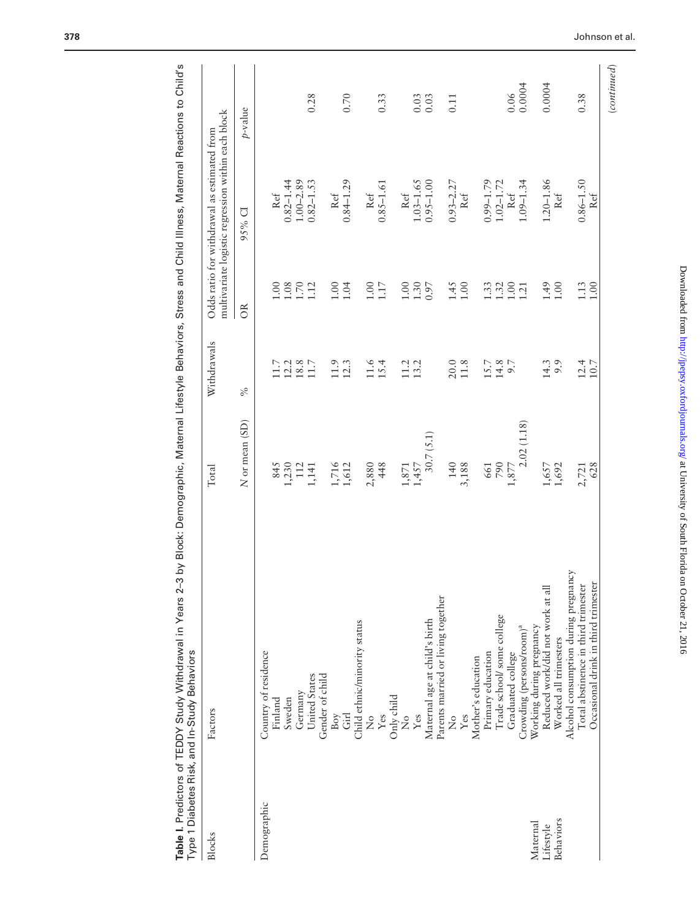<span id="page-5-0"></span>

| ١<br>ים<br>ס<br>ı<br>$\frac{1}{2}$<br>Į<br>Í              |                                                |
|-----------------------------------------------------------|------------------------------------------------|
| - יימי 147 מיים מיי<br>2<br>2<br>ı<br>$\sum_{i=1}^{n}$    |                                                |
| Ï<br>ני<br>האלי ה<br>ı<br>$-3$ by Block:<br>!<br>!<br>í   |                                                |
| ١<br>I<br>֖֖֖֪ׅ֖֧ׅ֪ׅ֖֧֪ׅ֚֚֚֚֚֚֚֚֚֚֚֚֚֚֚֚֚֚֚֚֚֡֝֝֝֝֝֓<br>Í | $\frac{1}{2}$<br>I<br>$\overline{\phantom{a}}$ |
| ţ                                                         | l<br>$\ddot{\phantom{a}}$<br>ł                 |

| <b>Blocks</b> | Factors                                                                    | Total                                                       | Withdrawals                          |                                                     | multivariate logistic regression within each block<br>Odds ratio for withdrawal as estimated from |                    |
|---------------|----------------------------------------------------------------------------|-------------------------------------------------------------|--------------------------------------|-----------------------------------------------------|---------------------------------------------------------------------------------------------------|--------------------|
|               |                                                                            | N or mean (SD)                                              | $\%$                                 | OR                                                  | $95%$ CI                                                                                          | $p$ -value         |
| Demographic   | Country of residence                                                       |                                                             |                                      |                                                     |                                                                                                   |                    |
|               | Finland                                                                    |                                                             |                                      |                                                     | $\operatorname{Ref}$                                                                              |                    |
|               | Sweden                                                                     |                                                             | $11.7$<br>$12.3$<br>$13.7$<br>$11.7$ | $0.3881$<br>$0.72$                                  | $0.82 - 1.44$                                                                                     |                    |
|               | Germany                                                                    |                                                             |                                      |                                                     | $1.00 - 2.89$                                                                                     |                    |
|               | United States                                                              | $\begin{array}{c} 845 \\ 1,230 \\ 111 \\ 1,141 \end{array}$ |                                      |                                                     | $0.82 - 1.53$                                                                                     | 0.28               |
|               | Gender of child                                                            |                                                             |                                      |                                                     |                                                                                                   |                    |
|               | Boy                                                                        |                                                             |                                      | 00.1                                                | Ref                                                                                               |                    |
|               | $\mbox{Girl}$                                                              | 1,716<br>1,612                                              | $11.9$<br>$12.3$                     | 1.04                                                | $0.84 - 1.29$                                                                                     | 0.70               |
|               | Child ethnic/minority status                                               |                                                             |                                      |                                                     |                                                                                                   |                    |
|               | $\frac{1}{2}$                                                              |                                                             |                                      |                                                     | $\operatorname{Ref}$                                                                              |                    |
|               | Yes                                                                        | $2,880$<br>448                                              | $11.6$<br>$15.4$                     | 1.17                                                | $0.85 - 1.61$                                                                                     | 0.33               |
|               | Only child                                                                 |                                                             |                                      |                                                     |                                                                                                   |                    |
|               | $\frac{1}{2}$                                                              |                                                             |                                      |                                                     | $\operatorname{Ref}$                                                                              |                    |
|               | Yes                                                                        | 1,871<br>1,457                                              | 11.2                                 |                                                     |                                                                                                   |                    |
|               | Maternal age at child's birth                                              | 30.7(5.1)                                                   |                                      | $\begin{array}{c} 1.00 \\ 1.30 \\ 0.97 \end{array}$ | $1.03 - 1.65$<br>0.95-1.00                                                                        | 0.03               |
|               | Parents married or living together                                         |                                                             |                                      |                                                     |                                                                                                   |                    |
|               | $\frac{1}{2}$                                                              | 140                                                         |                                      | 1.45                                                | $0.93 - 2.27$                                                                                     | 0.11               |
|               | Yes                                                                        | 3,188                                                       | 20.0<br>11.8                         | 1.00                                                | Ref                                                                                               |                    |
|               | Mother's education                                                         |                                                             |                                      |                                                     |                                                                                                   |                    |
|               | Primary education                                                          | $\frac{661}{790}$<br>1,877                                  |                                      | 1.33                                                | $0.99 - 1.79$                                                                                     |                    |
|               | Trade school/ some college                                                 |                                                             | $15.7$<br>$14.8$<br>$9.7$            |                                                     | $1.02 - 1.72$                                                                                     |                    |
|               | Graduated college                                                          |                                                             |                                      |                                                     | Ref                                                                                               |                    |
|               | Crowding (persons/room) <sup>a</sup>                                       | 2.02(1.18)                                                  |                                      | $1.30$<br>$-2.7$                                    | $1.09 - 1.34$                                                                                     | $0.06$<br>$0.0004$ |
| Maternal      | Working during pregnancy                                                   |                                                             |                                      |                                                     |                                                                                                   |                    |
| Lifestyle     | Reduced work/did not work at all                                           | 1,657                                                       | 14.3                                 | 1.49                                                | $1.20 - 1.86$                                                                                     | 0.0004             |
| Behaviors     | Worked all trimesters                                                      | 1,692                                                       | 9.9                                  | 1.00                                                | Ref                                                                                               |                    |
|               | Alcohol consumption during pregnancy                                       |                                                             |                                      |                                                     |                                                                                                   |                    |
|               |                                                                            |                                                             |                                      | 1.13                                                | $0.86 - 1.50$                                                                                     | 0.38               |
|               | Total abstinence in third trimester<br>Occasional drink in third trimester | 2,721<br>628                                                | $12.4$<br>$10.7$                     | 0.00                                                | Ref                                                                                               |                    |
|               |                                                                            |                                                             |                                      |                                                     |                                                                                                   | (continued)        |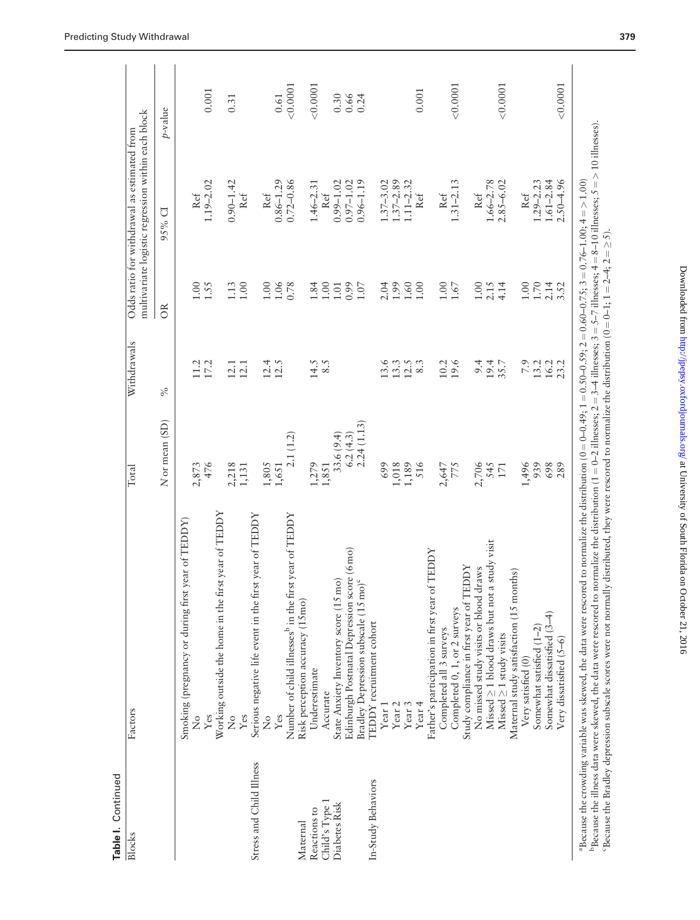| Table I. Continued       |                                                                                                                                                                                                                                                                                                                                                                                    |                |                  |                            |                                                                                                   |                  |
|--------------------------|------------------------------------------------------------------------------------------------------------------------------------------------------------------------------------------------------------------------------------------------------------------------------------------------------------------------------------------------------------------------------------|----------------|------------------|----------------------------|---------------------------------------------------------------------------------------------------|------------------|
| Blocks                   | Factors                                                                                                                                                                                                                                                                                                                                                                            | $\rm Total$    | Withdrawals      |                            | multivariate logistic regression within each block<br>Odds ratio for withdrawal as estimated from |                  |
|                          |                                                                                                                                                                                                                                                                                                                                                                                    | N or mean (SD) | $\%$             | OR                         | $95%$ CI                                                                                          | $p$ -value       |
|                          | year of TEDDY)<br>Smoking (pregnancy or during first                                                                                                                                                                                                                                                                                                                               |                |                  |                            |                                                                                                   |                  |
|                          | ż                                                                                                                                                                                                                                                                                                                                                                                  | 2,873          | $11.2$<br>$17.2$ | 1.55                       | Ref                                                                                               |                  |
|                          | Yes                                                                                                                                                                                                                                                                                                                                                                                | 476            |                  |                            | $1.19 - 2.02$                                                                                     | 0.001            |
|                          | Working outside the home in the first year of TEDDY                                                                                                                                                                                                                                                                                                                                |                |                  |                            |                                                                                                   |                  |
|                          | $\frac{1}{2}$                                                                                                                                                                                                                                                                                                                                                                      | 2,218          | 12.1             | 1.13                       | $0.90 - 1.42$                                                                                     | 0.31             |
|                          | $\mathop{\mathrm{Yes}}$                                                                                                                                                                                                                                                                                                                                                            | 1,131          | 12.1             | 1.00                       | Ref                                                                                               |                  |
| Stress and Child Illness | Serious negative life event in the first year of TEDDY                                                                                                                                                                                                                                                                                                                             |                |                  |                            |                                                                                                   |                  |
|                          | $\frac{1}{2}$                                                                                                                                                                                                                                                                                                                                                                      | $1,805$        |                  | 1.00                       | Ref                                                                                               |                  |
|                          | Yes                                                                                                                                                                                                                                                                                                                                                                                | 1,651          | $12.4$<br>$12.5$ |                            | $0.86 - 1.29$                                                                                     | $0.61\,$         |
|                          | Number of child illnesses <sup>b</sup> in the first year of TEDDY                                                                                                                                                                                                                                                                                                                  | 2.1(1.2)       |                  | $1.06$<br>$0.78$           | $0.72 - 0.86$                                                                                     | < 0.0001         |
| Maternal                 | Risk perception accuracy (15mo)                                                                                                                                                                                                                                                                                                                                                    |                |                  |                            |                                                                                                   |                  |
| Reactions to             | Underestimate                                                                                                                                                                                                                                                                                                                                                                      | 1,279          | 14.5             |                            | $1.46 - 2.31$                                                                                     | < 0.0001         |
| Child's Type 1           | Accurate                                                                                                                                                                                                                                                                                                                                                                           | 1,851          | 8.5              | $1.84$<br>$1.00$           | Ref                                                                                               |                  |
| Diabetes Risk            | State Anxiety Inventory score (15 mo)                                                                                                                                                                                                                                                                                                                                              | 33.6(9.4)      |                  | $1.01\,$                   | $0.99 - 1.02$                                                                                     |                  |
|                          |                                                                                                                                                                                                                                                                                                                                                                                    | 6.2(4.3)       |                  | 0.99                       | $0.97 - 1.02$                                                                                     | $0.30$<br>$0.66$ |
|                          | Edinburgh Postnatal Depression score (6 mo)<br>Bradley Depression subscale (15 mo) <sup>c</sup>                                                                                                                                                                                                                                                                                    | 2.24(1.13)     |                  | 1.07                       | $0.96 - 1.19$                                                                                     | 0.24             |
| In-Study Behaviors       | TEDDY recruitment cohort                                                                                                                                                                                                                                                                                                                                                           |                |                  |                            |                                                                                                   |                  |
|                          | Year 1                                                                                                                                                                                                                                                                                                                                                                             | 699            | 13.6             | 2.04                       | $1.37 - 3.02$                                                                                     |                  |
|                          | Year 2                                                                                                                                                                                                                                                                                                                                                                             | 1,018          | 13.3             | $1.99$<br>$1.60$<br>$1.00$ | $1.37 - 2.89$                                                                                     |                  |
|                          | Year <sub>3</sub>                                                                                                                                                                                                                                                                                                                                                                  | 1,189          | 12.5             |                            | $1.11 - 2.32$                                                                                     |                  |
|                          | Year <sub>4</sub>                                                                                                                                                                                                                                                                                                                                                                  | 516            | 8.3              |                            | Ref                                                                                               | 0.001            |
|                          | Father's participation in first year of TEDDY                                                                                                                                                                                                                                                                                                                                      |                |                  |                            |                                                                                                   |                  |
|                          | Completed all 3 surveys                                                                                                                                                                                                                                                                                                                                                            |                | 10.2             | 1.67                       | Ref                                                                                               |                  |
|                          | Completed 0, 1, or 2 surveys                                                                                                                                                                                                                                                                                                                                                       | 2,647<br>775   | 19.6             |                            | $1.31 - 2.13$                                                                                     | < 0.0001         |
|                          | <b>ACCE</b><br>Study compliance in first year of T                                                                                                                                                                                                                                                                                                                                 |                |                  |                            |                                                                                                   |                  |
|                          | No missed study visits or blood draws                                                                                                                                                                                                                                                                                                                                              | 2,706          | 9.4              | 1.00                       | Ref                                                                                               |                  |
|                          | Missed $\geq$ 1 blood draws but not a study visit                                                                                                                                                                                                                                                                                                                                  | 545            | 19.4<br>35.7     | $2.15$<br>4.14             | $1.66 - 2.78$                                                                                     |                  |
|                          | Missed ≥ 1 study visits                                                                                                                                                                                                                                                                                                                                                            | 171            |                  |                            | $2.85 - 6.02$                                                                                     | < 0.0001         |
|                          | Maternal study satisfaction (15 months)                                                                                                                                                                                                                                                                                                                                            |                |                  |                            |                                                                                                   |                  |
|                          | Very satisfied (0)                                                                                                                                                                                                                                                                                                                                                                 | 1,496          | 7.9              | $1.00\,$                   | Ref                                                                                               |                  |
|                          | Somewhat satisfied (1-2)                                                                                                                                                                                                                                                                                                                                                           | 939            | $13.2$<br>$16.2$ | $1.70\,$                   | $1.29 - 2.23$                                                                                     |                  |
|                          | Somewhat dissatisfied (3-4)                                                                                                                                                                                                                                                                                                                                                        | 698            |                  | 2.14                       | $1.61 - 2.84$                                                                                     |                  |
|                          | Very dissatisfied (5-6)                                                                                                                                                                                                                                                                                                                                                            | 289            | 23.2             | 3.52                       | $2.50 - 4.96$                                                                                     | < 0.0001         |
|                          | $P_{\text{Because the illness data were skewed, the data were recovered to normalize the distribution (1 = 0-2 illnesses; 2 = 3-4 illnesses; 3 = 5-7 illnesses; 4 = 8-10 illnesses; 5 = 510 illnesses).}$<br>"Because the crowding variable was skewed, the data were rescored to normalize the distribution (0 = 0-0.49; 1 = 0.50-0.59; 2 = 0.60-0.76; 3 = 0.76-1.00; 4 = > 1.00) |                |                  |                            |                                                                                                   |                  |
|                          | "Because the Bradley depression subscale scores were not normally distributed, they were rescored to normalize the distribution (0 = 0-1; 1 = 2-4; 2 = > 5).                                                                                                                                                                                                                       |                |                  |                            |                                                                                                   |                  |

Predicting Study Withdrawal 379

Downloaded from http://jpepsy.oxfordjournals.org/ at University of South Florida on October 21, 2016 Downloaded from <http://jpepsy.oxfordjournals.org/> at University of South Florida on October 21, 2016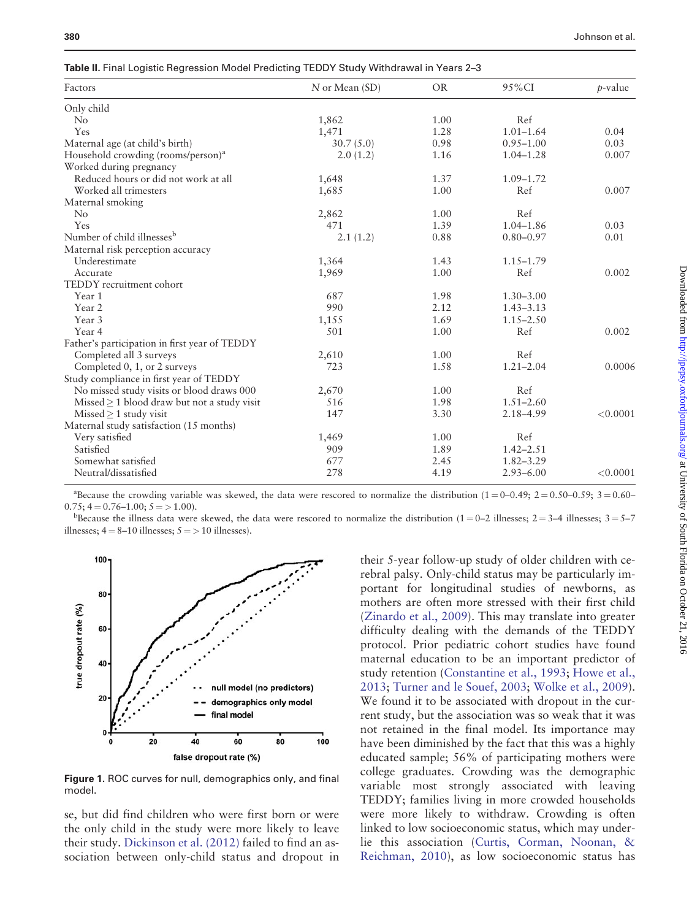| Factors                                          | $N$ or Mean (SD) | <b>OR</b> | $95\%$ CI     | $p$ -value |
|--------------------------------------------------|------------------|-----------|---------------|------------|
| Only child                                       |                  |           |               |            |
| No                                               | 1,862            | 1.00      | Ref           |            |
| Yes                                              | 1,471            | 1.28      | $1.01 - 1.64$ | 0.04       |
| Maternal age (at child's birth)                  | 30.7(5.0)        | 0.98      | $0.95 - 1.00$ | 0.03       |
| Household crowding (rooms/person) <sup>a</sup>   | 2.0(1.2)         | 1.16      | $1.04 - 1.28$ | 0.007      |
| Worked during pregnancy                          |                  |           |               |            |
| Reduced hours or did not work at all             | 1,648            | 1.37      | $1.09 - 1.72$ |            |
| Worked all trimesters                            | 1,685            | 1.00      | Ref           | 0.007      |
| Maternal smoking                                 |                  |           |               |            |
| $\rm No$                                         | 2,862            | 1.00      | Ref           |            |
| Yes                                              | 471              | 1.39      | $1.04 - 1.86$ | 0.03       |
| Number of child illnesses <sup>b</sup>           | 2.1(1.2)         | 0.88      | $0.80 - 0.97$ | 0.01       |
| Maternal risk perception accuracy                |                  |           |               |            |
| Underestimate                                    | 1,364            | 1.43      | $1.15 - 1.79$ |            |
| Accurate                                         | 1,969            | 1.00      | Ref           | 0.002      |
| TEDDY recruitment cohort                         |                  |           |               |            |
| Year 1                                           | 687              | 1.98      | $1.30 - 3.00$ |            |
| Year 2                                           | 990              | 2.12      | $1.43 - 3.13$ |            |
| Year 3                                           | 1,155            | 1.69      | $1.15 - 2.50$ |            |
| Year <sub>4</sub>                                | 501              | 1.00      | Ref           | 0.002      |
| Father's participation in first year of TEDDY    |                  |           |               |            |
| Completed all 3 surveys                          | 2,610            | 1.00      | Ref           |            |
| Completed 0, 1, or 2 surveys                     | 723              | 1.58      | $1.21 - 2.04$ | 0.0006     |
| Study compliance in first year of TEDDY          |                  |           |               |            |
| No missed study visits or blood draws 000        | 2,670            | 1.00      | Ref           |            |
| Missed $\geq$ 1 blood draw but not a study visit | 516              | 1.98      | $1.51 - 2.60$ |            |
| Missed $\geq$ 1 study visit                      | 147              | 3.30      | 2.18-4.99     | < 0.0001   |
| Maternal study satisfaction (15 months)          |                  |           |               |            |
| Very satisfied                                   | 1,469            | 1.00      | Ref           |            |
| Satisfied                                        | 909              | 1.89      | $1.42 - 2.51$ |            |
| Somewhat satisfied                               | 677              | 2.45      | $1.82 - 3.29$ |            |
| Neutral/dissatisfied                             | 278              | 4.19      | $2.93 - 6.00$ | < 0.0001   |

<span id="page-7-0"></span>Table II. Final Logistic Regression Model Predicting TEDDY Study Withdrawal in Years 2–3

<sup>a</sup>Because the crowding variable was skewed, the data were rescored to normalize the distribution  $(1 = 0 - 0.49; 2 = 0.50 - 0.59; 3 = 0.60 - 0.59)$  $0.75$ ;  $4 = 0.76 - 1.00$ ;  $5 = > 1.00$ ).

Because the illness data were skewed, the data were rescored to normalize the distribution (1=0-2 illnesses; 2=3-4 illnesses; 3=5-7 illnesses;  $4 = 8-10$  illnesses;  $5 = > 10$  illnesses).



Figure 1. ROC curves for null, demographics only, and final model.

se, but did find children who were first born or were the only child in the study were more likely to leave their study. [Dickinson et al. \(2012\)](#page-10-0) failed to find an association between only-child status and dropout in

their 5-year follow-up study of older children with cerebral palsy. Only-child status may be particularly important for longitudinal studies of newborns, as mothers are often more stressed with their first child ([Zinardo et al., 2009\)](#page-10-0). This may translate into greater difficulty dealing with the demands of the TEDDY protocol. Prior pediatric cohort studies have found maternal education to be an important predictor of study retention ([Constantine et al., 1993;](#page-10-0) [Howe et al.,](#page-10-0) [2013;](#page-10-0) [Turner and le Souef, 2003](#page-10-0); [Wolke et al., 2009\)](#page-10-0). We found it to be associated with dropout in the current study, but the association was so weak that it was not retained in the final model. Its importance may have been diminished by the fact that this was a highly educated sample; 56% of participating mothers were college graduates. Crowding was the demographic variable most strongly associated with leaving TEDDY; families living in more crowded households were more likely to withdraw. Crowding is often linked to low socioeconomic status, which may underlie this association [\(Curtis, Corman, Noonan, &](#page-10-0) [Reichman, 2010](#page-10-0)), as low socioeconomic status has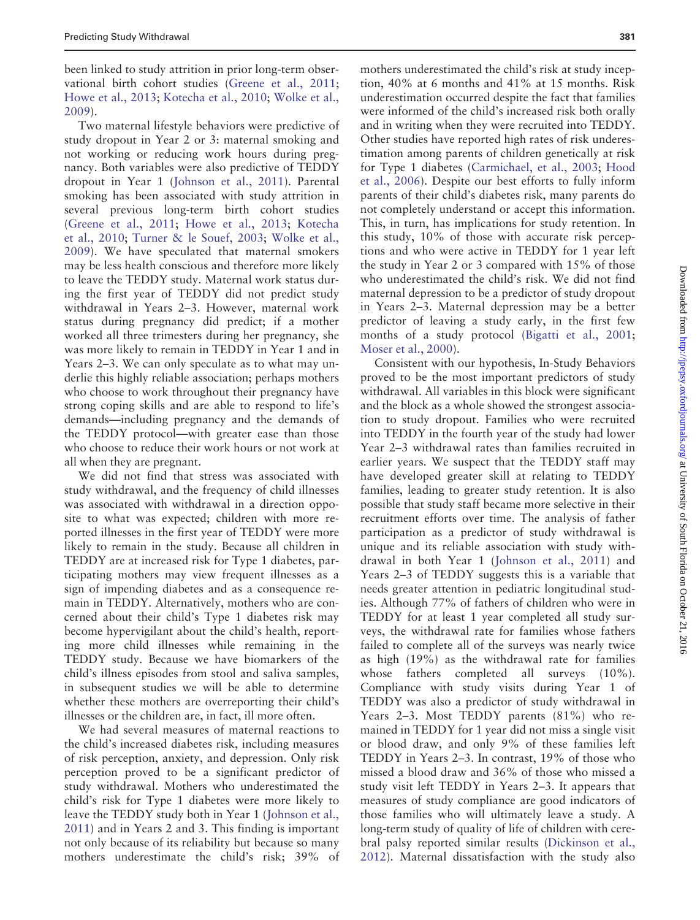been linked to study attrition in prior long-term observational birth cohort studies ([Greene et al., 2011;](#page-10-0) [Howe et al., 2013](#page-10-0); [Kotecha et al., 2010](#page-10-0); [Wolke et al.,](#page-10-0) [2009\)](#page-10-0).

Two maternal lifestyle behaviors were predictive of study dropout in Year 2 or 3: maternal smoking and not working or reducing work hours during pregnancy. Both variables were also predictive of TEDDY dropout in Year 1 ([Johnson et al., 2011\)](#page-10-0). Parental smoking has been associated with study attrition in several previous long-term birth cohort studies ([Greene et al., 2011](#page-10-0); [Howe et al., 2013;](#page-10-0) [Kotecha](#page-10-0) [et al., 2010;](#page-10-0) [Turner & le Souef, 2003](#page-10-0); [Wolke et al.,](#page-10-0) [2009\)](#page-10-0). We have speculated that maternal smokers may be less health conscious and therefore more likely to leave the TEDDY study. Maternal work status during the first year of TEDDY did not predict study withdrawal in Years 2–3. However, maternal work status during pregnancy did predict; if a mother worked all three trimesters during her pregnancy, she was more likely to remain in TEDDY in Year 1 and in Years 2–3. We can only speculate as to what may underlie this highly reliable association; perhaps mothers who choose to work throughout their pregnancy have strong coping skills and are able to respond to life's demands—including pregnancy and the demands of the TEDDY protocol—with greater ease than those who choose to reduce their work hours or not work at all when they are pregnant.

We did not find that stress was associated with study withdrawal, and the frequency of child illnesses was associated with withdrawal in a direction opposite to what was expected; children with more reported illnesses in the first year of TEDDY were more likely to remain in the study. Because all children in TEDDY are at increased risk for Type 1 diabetes, participating mothers may view frequent illnesses as a sign of impending diabetes and as a consequence remain in TEDDY. Alternatively, mothers who are concerned about their child's Type 1 diabetes risk may become hypervigilant about the child's health, reporting more child illnesses while remaining in the TEDDY study. Because we have biomarkers of the child's illness episodes from stool and saliva samples, in subsequent studies we will be able to determine whether these mothers are overreporting their child's illnesses or the children are, in fact, ill more often.

We had several measures of maternal reactions to the child's increased diabetes risk, including measures of risk perception, anxiety, and depression. Only risk perception proved to be a significant predictor of study withdrawal. Mothers who underestimated the child's risk for Type 1 diabetes were more likely to leave the TEDDY study both in Year 1 ([Johnson et al.,](#page-10-0) [2011\)](#page-10-0) and in Years 2 and 3. This finding is important not only because of its reliability but because so many mothers underestimate the child's risk; 39% of

mothers underestimated the child's risk at study inception, 40% at 6 months and 41% at 15 months. Risk underestimation occurred despite the fact that families were informed of the child's increased risk both orally and in writing when they were recruited into TEDDY. Other studies have reported high rates of risk underestimation among parents of children genetically at risk for Type 1 diabetes [\(Carmichael, et al., 2003;](#page-10-0) [Hood](#page-10-0) [et al., 2006\)](#page-10-0). Despite our best efforts to fully inform parents of their child's diabetes risk, many parents do not completely understand or accept this information. This, in turn, has implications for study retention. In this study, 10% of those with accurate risk perceptions and who were active in TEDDY for 1 year left the study in Year 2 or 3 compared with 15% of those who underestimated the child's risk. We did not find maternal depression to be a predictor of study dropout in Years 2–3. Maternal depression may be a better predictor of leaving a study early, in the first few months of a study protocol [\(Bigatti et al., 2001;](#page-9-0) [Moser et al., 2000](#page-10-0)).

Consistent with our hypothesis, In-Study Behaviors proved to be the most important predictors of study withdrawal. All variables in this block were significant and the block as a whole showed the strongest association to study dropout. Families who were recruited into TEDDY in the fourth year of the study had lower Year 2–3 withdrawal rates than families recruited in earlier years. We suspect that the TEDDY staff may have developed greater skill at relating to TEDDY families, leading to greater study retention. It is also possible that study staff became more selective in their recruitment efforts over time. The analysis of father participation as a predictor of study withdrawal is unique and its reliable association with study withdrawal in both Year 1 [\(Johnson et al., 2011\)](#page-10-0) and Years 2–3 of TEDDY suggests this is a variable that needs greater attention in pediatric longitudinal studies. Although 77% of fathers of children who were in TEDDY for at least 1 year completed all study surveys, the withdrawal rate for families whose fathers failed to complete all of the surveys was nearly twice as high (19%) as the withdrawal rate for families whose fathers completed all surveys (10%). Compliance with study visits during Year 1 of TEDDY was also a predictor of study withdrawal in Years 2–3. Most TEDDY parents (81%) who remained in TEDDY for 1 year did not miss a single visit or blood draw, and only 9% of these families left TEDDY in Years 2–3. In contrast, 19% of those who missed a blood draw and 36% of those who missed a study visit left TEDDY in Years 2–3. It appears that measures of study compliance are good indicators of those families who will ultimately leave a study. A long-term study of quality of life of children with cerebral palsy reported similar results [\(Dickinson et al.,](#page-10-0) [2012\)](#page-10-0). Maternal dissatisfaction with the study also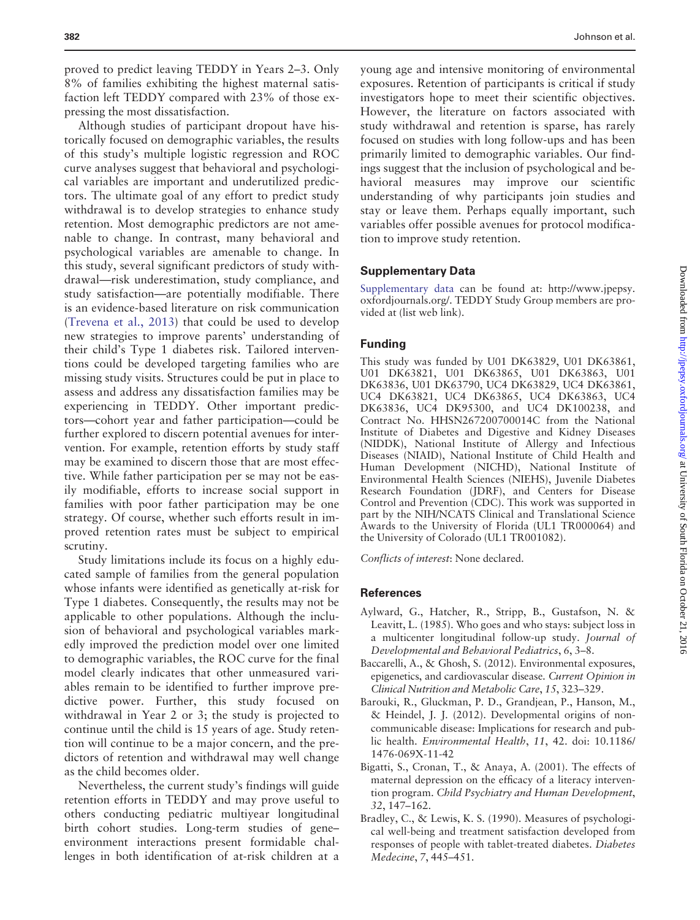<span id="page-9-0"></span>proved to predict leaving TEDDY in Years 2–3. Only 8% of families exhibiting the highest maternal satisfaction left TEDDY compared with 23% of those expressing the most dissatisfaction.

Although studies of participant dropout have historically focused on demographic variables, the results of this study's multiple logistic regression and ROC curve analyses suggest that behavioral and psychological variables are important and underutilized predictors. The ultimate goal of any effort to predict study withdrawal is to develop strategies to enhance study retention. Most demographic predictors are not amenable to change. In contrast, many behavioral and psychological variables are amenable to change. In this study, several significant predictors of study withdrawal—risk underestimation, study compliance, and study satisfaction—are potentially modifiable. There is an evidence-based literature on risk communication ([Trevena et al., 2013](#page-10-0)) that could be used to develop new strategies to improve parents' understanding of their child's Type 1 diabetes risk. Tailored interventions could be developed targeting families who are missing study visits. Structures could be put in place to assess and address any dissatisfaction families may be experiencing in TEDDY. Other important predictors—cohort year and father participation—could be further explored to discern potential avenues for intervention. For example, retention efforts by study staff may be examined to discern those that are most effective. While father participation per se may not be easily modifiable, efforts to increase social support in families with poor father participation may be one strategy. Of course, whether such efforts result in improved retention rates must be subject to empirical scrutiny.

Study limitations include its focus on a highly educated sample of families from the general population whose infants were identified as genetically at-risk for Type 1 diabetes. Consequently, the results may not be applicable to other populations. Although the inclusion of behavioral and psychological variables markedly improved the prediction model over one limited to demographic variables, the ROC curve for the final model clearly indicates that other unmeasured variables remain to be identified to further improve predictive power. Further, this study focused on withdrawal in Year 2 or 3; the study is projected to continue until the child is 15 years of age. Study retention will continue to be a major concern, and the predictors of retention and withdrawal may well change as the child becomes older.

Nevertheless, the current study's findings will guide retention efforts in TEDDY and may prove useful to others conducting pediatric multiyear longitudinal birth cohort studies. Long-term studies of gene– environment interactions present formidable challenges in both identification of at-risk children at a

young age and intensive monitoring of environmental exposures. Retention of participants is critical if study investigators hope to meet their scientific objectives. However, the literature on factors associated with study withdrawal and retention is sparse, has rarely focused on studies with long follow-ups and has been primarily limited to demographic variables. Our findings suggest that the inclusion of psychological and behavioral measures may improve our scientific understanding of why participants join studies and stay or leave them. Perhaps equally important, such variables offer possible avenues for protocol modification to improve study retention.

# Supplementary Data

[Supplementary data](http://jpepsy.oxfordjournals.org/lookup/suppl/doi:10.1093/jpepsy/jsv092/-/DC1) can be found at: [http://www.jpepsy.](http://www.jpepsy.oxfordjournals.org/) [oxfordjournals.org/](http://www.jpepsy.oxfordjournals.org/). TEDDY Study Group members are provided at (list web link).

# Funding

This study was funded by U01 DK63829, U01 DK63861, U01 DK63821, U01 DK63865, U01 DK63863, U01 DK63836, U01 DK63790, UC4 DK63829, UC4 DK63861, UC4 DK63821, UC4 DK63865, UC4 DK63863, UC4 DK63836, UC4 DK95300, and UC4 DK100238, and Contract No. HHSN267200700014C from the National Institute of Diabetes and Digestive and Kidney Diseases (NIDDK), National Institute of Allergy and Infectious Diseases (NIAID), National Institute of Child Health and Human Development (NICHD), National Institute of Environmental Health Sciences (NIEHS), Juvenile Diabetes Research Foundation (JDRF), and Centers for Disease Control and Prevention (CDC). This work was supported in part by the NIH/NCATS Clinical and Translational Science Awards to the University of Florida (UL1 TR000064) and the University of Colorado (UL1 TR001082).

Conflicts of interest: None declared.

## References

- Aylward, G., Hatcher, R., Stripp, B., Gustafson, N. & Leavitt, L. (1985). Who goes and who stays: subject loss in a multicenter longitudinal follow-up study. Journal of Developmental and Behavioral Pediatrics, 6, 3–8.
- Baccarelli, A., & Ghosh, S. (2012). Environmental exposures, epigenetics, and cardiovascular disease. Current Opinion in Clinical Nutrition and Metabolic Care, 15, 323–329.
- Barouki, R., Gluckman, P. D., Grandjean, P., Hanson, M., & Heindel, J. J. (2012). Developmental origins of noncommunicable disease: Implications for research and public health. Environmental Health, 11, 42. doi: 10.1186/ 1476-069X-11-42
- Bigatti, S., Cronan, T., & Anaya, A. (2001). The effects of maternal depression on the efficacy of a literacy intervention program. Child Psychiatry and Human Development, 32, 147–162.
- Bradley, C., & Lewis, K. S. (1990). Measures of psychological well-being and treatment satisfaction developed from responses of people with tablet-treated diabetes. Diabetes Medecine, 7, 445–451.